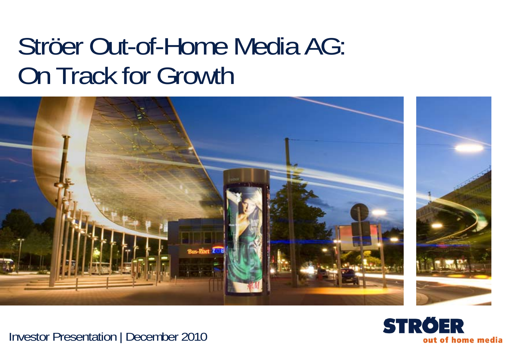# Ströer Out-of-Home Media AG: On Track for Growth



Investor Presentation | December 2010

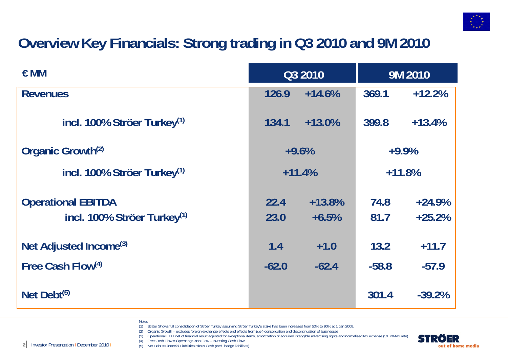

## **Overview Key Financials: Strong trading in Q3 2010 and 9M 2010**

| $\epsilon$ MM                                                        | Q3 2010      |                     | 9M 2010      |                      |
|----------------------------------------------------------------------|--------------|---------------------|--------------|----------------------|
| <b>Revenues</b>                                                      | 126.9        | $+14.6%$            | 369.1        | $+12.2%$             |
| incl. 100% Ströer Turkey <sup>(1)</sup>                              | 134.1        | $+13.0%$            | 399.8        | $+13.4%$             |
| Organic Growth <sup>(2)</sup>                                        | $+9.6%$      |                     | $+9.9%$      |                      |
| incl. 100% Ströer Turkey <sup>(1)</sup>                              | $+11.4%$     |                     | $+11.8%$     |                      |
| <b>Operational EBITDA</b><br>incl. 100% Ströer Turkey <sup>(1)</sup> | 22.4<br>23.0 | $+13.8%$<br>$+6.5%$ | 74.8<br>81.7 | $+24.9%$<br>$+25.2%$ |
| Net Adjusted Income <sup>(3)</sup>                                   | 1.4          | $+1.0$              | 13.2         | $+11.7$              |
| Free Cash Flow(4)                                                    | $-62.0$      | $-62.4$             | $-58.8$      | $-57.9$              |
| Net Debt <sup>(5)</sup>                                              |              |                     | 301.4        | $-39.2%$             |

- **Notes**
- (1) Ströer Shows full consolidation of Ströer Turkey assuming Ströer Turkey's stake had been increased from 50% to 90% at 1 Jan 2009.
- (2) Organic Growth = excludes foreign exchange effects and effects from (de-) consolidation and discontinuation of businesses
- (3) Operational EBIT net of financial result adjusted for exceptional items, amortization of acquired intangible advertising rights and normalised tax expense (31.7% tax rate)

(4) Free Cash Flow = Operating Cash Flow – Investing Cash Flow (5) Net Debt = Financial Liabilities minus Cash (excl. hedge liabilities)

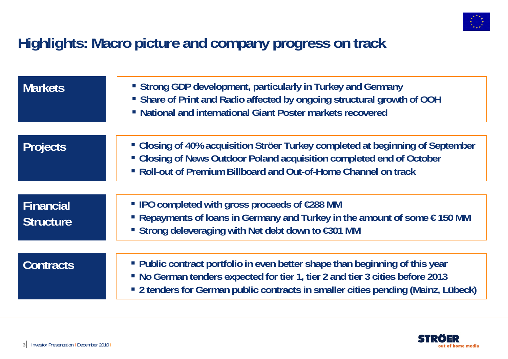

### **Highlights: Macro picture and company progress on track**

| <b>Markets</b>                | • Strong GDP development, particularly in Turkey and Germany<br>• Share of Print and Radio affected by ongoing structural growth of OOH<br>• National and international Giant Poster markets recovered                                             |
|-------------------------------|----------------------------------------------------------------------------------------------------------------------------------------------------------------------------------------------------------------------------------------------------|
| <b>Projects</b>               | • Closing of 40% acquisition Ströer Turkey completed at beginning of September<br>• Closing of News Outdoor Poland acquisition completed end of October<br>• Roll-out of Premium Billboard and Out-of-Home Channel on track                        |
| Financial<br><b>Structure</b> | ■ IPO completed with gross proceeds of €288 MM<br>Repayments of loans in Germany and Turkey in the amount of some $\epsilon$ 150 MM<br>■ Strong deleveraging with Net debt down to €301 MM                                                         |
| <b>Contracts</b>              | • Public contract portfolio in even better shape than beginning of this year<br>• No German tenders expected for tier 1, tier 2 and tier 3 cities before 2013<br>• 2 tenders for German public contracts in smaller cities pending (Mainz, Lübeck) |

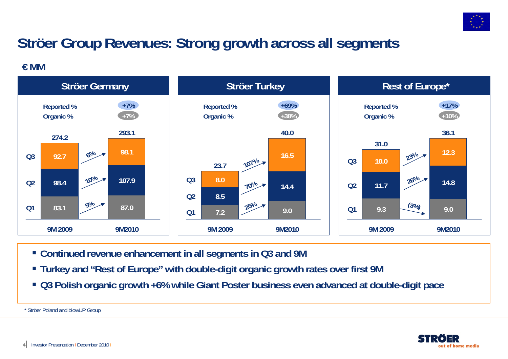

## **Ströer Group Revenues: Strong growth across all segments**

**€ MM**



- **Continued revenue enhancement in all segments in Q3 and 9M**
- **Turkey and "Rest of Europe" with double-digit organic growth rates over first 9M**
- **Q3 Polish organic growth +6% while Giant Poster business even advanced at double-digit pace**

\* Ströer Poland and blowUP Group

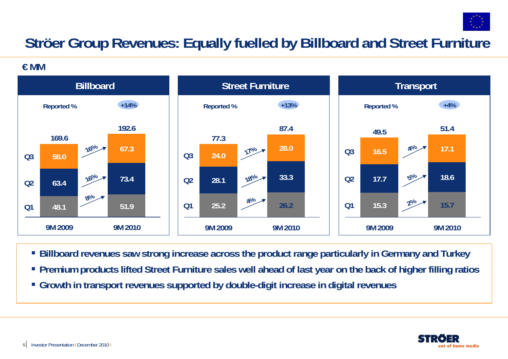

## **Ströer Group Revenues: Equally fuelled by Billboard and Street Furniture**

**€ MM**



- **Billboard revenues saw strong increase across the product range particularly in Germany and Turkey**
- **Premium products lifted Street Furniture sales well ahead of last year on the back of higher filling ratios**
- **Growth in transport revenues supported by double-digit increase in digital revenues**

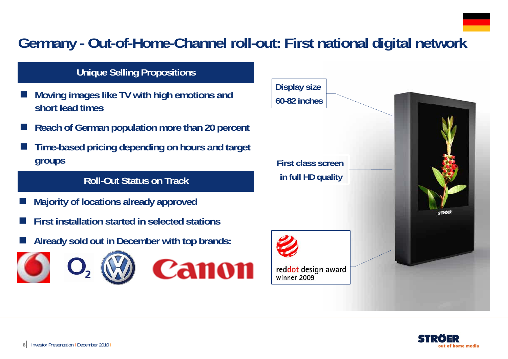## **Germany - Out-of-Home-Channel roll-out: First national digital network**

### **Unique Selling Propositions**

- F. **Moving images like TV with high emotions and short lead times**
- r. **Reach of German population more than 20 percent**
- F. **Time-based pricing depending on hours and target groups**

### **Roll-Out Status on Track**

- $\overline{\phantom{a}}$ **Majority of locations already approved**
- $\overline{\phantom{a}}$ **First installation started in selected stations**
- $\overline{\phantom{a}}$ **Already sold out in December with top brands:**





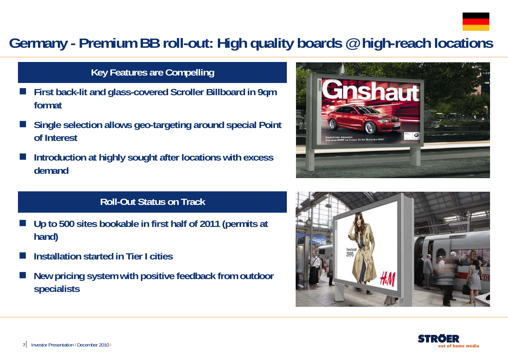

### **Germany - Premium BB roll-out: High quality boards @ high-reach locations**

### **Key Features are Compelling**

- F. **First back-lit and glass-covered Scroller Billboard in 9qm format**
- F. **Single selection allows geo-targeting around special Point of Interest**
- F. **Introduction at highly sought after locations with excess demand**

### **Roll-Out Status on Track**

- $\overline{\phantom{a}}$  **Up to 500 sites bookable in first half of 2011 (permits at hand)**
- F **Installation started in Tier I cities**
- $\overline{\phantom{a}}$  **New pricing system with positive feedback from outdoor specialists**





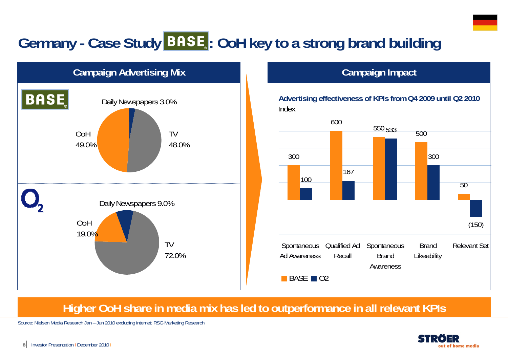## Germany - Case Study **BASE**: OoH key to a strong brand building



### **Campaign Impact**



### **Higher OoH share in media mix has led to outperformance in all relevant KPIs**

Source: Nielsen Media Research Jan – Jun 2010 excluding internet; RSG Marketing Research

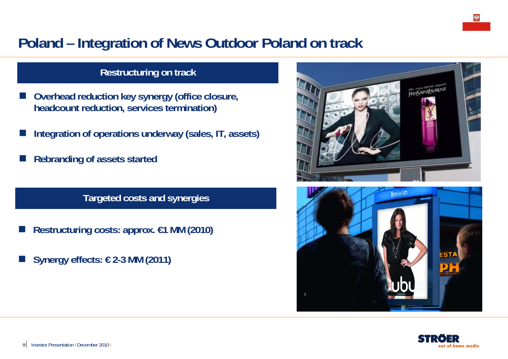## **Poland – Integration of News Outdoor Poland on track**

### **Restructuring on track**

- F **Overhead reduction key synergy (office closure, headcount reduction, services termination)**
- **Integration of operations underway (sales, IT, assets)**
- **Rebranding of assets started**

**Targeted costs and synergies**

- Π **Restructuring costs: approx. €1 MM (2010)**
- Π **Synergy effects: € 2-3 MM (2011)**





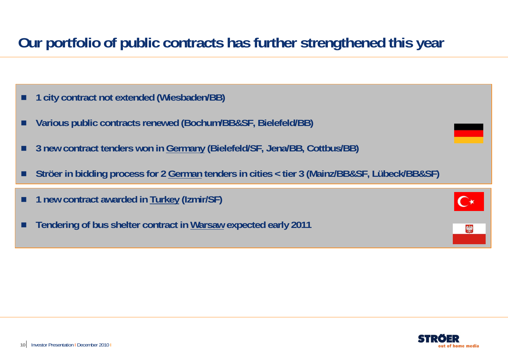## **Our portfolio of public contracts has further strengthened this year**

- п **1 city contract not extended (Wiesbaden/BB)**
- П **Various public contracts renewed (Bochum/BB&SF, Bielefeld/BB)**
- п **3 new contract tenders won in Germany (Bielefeld/SF, Jena/BB, Cottbus/BB)**
- П **Ströer in bidding process for 2 German tenders in cities < tier 3 (Mainz/BB&SF, Lübeck/BB&SF)**

|  |  |  |  | 1 new contract awarded in Turkey (Izmir/SF) |  |  |  |  |  |
|--|--|--|--|---------------------------------------------|--|--|--|--|--|
|--|--|--|--|---------------------------------------------|--|--|--|--|--|

п **Tendering of bus shelter contract in Warsaw expected early 2011** 

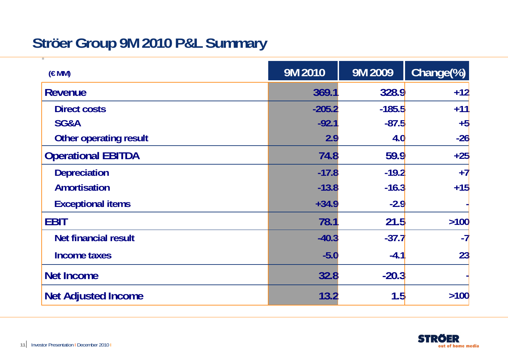## **Ströer Group 9M 2010 P&L Summary**

| (EMM)                         | 9M 2010  | 9M 2009  | Change(%) |
|-------------------------------|----------|----------|-----------|
| <b>Revenue</b>                | 369.1    | 328.9    | $+12$     |
| <b>Direct costs</b>           | $-205.2$ | $-185.5$ | $+11$     |
| SG&A                          | $-92.1$  | $-87.5$  | $+5$      |
| <b>Other operating result</b> | 2.9      | 4.0      | $-26$     |
| <b>Operational EBITDA</b>     | 74.8     | 59.9     | $+25$     |
| <b>Depreciation</b>           | $-17.8$  | $-19.2$  | $+7$      |
| <b>Amortisation</b>           | $-13.8$  | $-16.3$  | $+15$     |
| <b>Exceptional items</b>      | $+34.9$  | $-2.9$   |           |
| <b>EBIT</b>                   | 78.1     | 21.5     | $>100$    |
| <b>Net financial result</b>   | $-40.3$  | $-37.7$  | $-7$      |
| <b>Income taxes</b>           | $-5.0$   | $-4.1$   | 23        |
| <b>Net Income</b>             | 32.8     | $-20.3$  |           |
| <b>Net Adjusted Income</b>    | 13.2     | 1.5      | >100      |

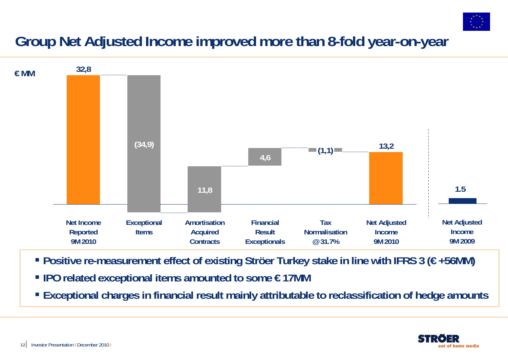

## **Group Net Adjusted Income improved more than 8-fold year-on-year**



- **Positive re-measurement effect of existing Ströer Turkey stake in line with IFRS 3 (€ +56MM)**
- **IPO related exceptional items amounted to some € 17MM**
- **Exceptional charges in financial result mainly attributable to reclassification of hedge amounts**

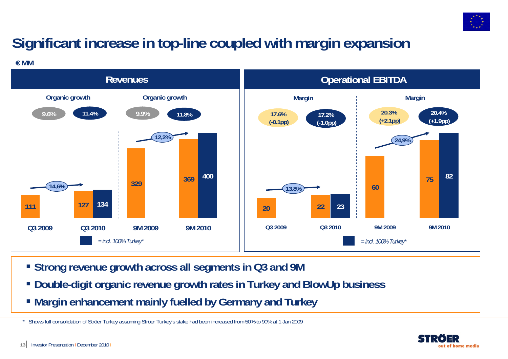

## **Significant increase in top-line coupled with margin expansion**

**€ MM**



- **Strong revenue growth across all segments in Q3 and 9M**
- **Double-digit organic revenue growth rates in Turkey and BlowUp business**
- **Margin enhancement mainly fuelled by Germany and Turkey**

\* Shows full consolidation of Ströer Turkey assuming Ströer Turkey's stake had been increased from 50% to 90% at 1 Jan 2009

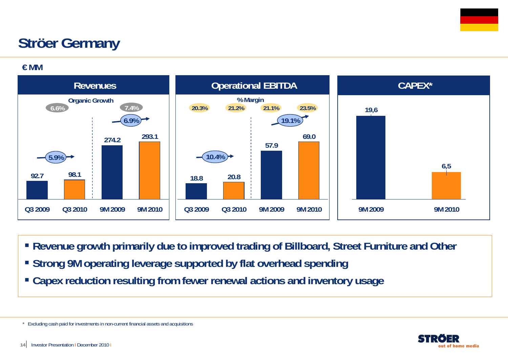## **Ströer Germany**

**€ MM**



- **Revenue growth primarily due to improved trading of Billboard, Street Furniture and Other**
- **Strong 9M operating leverage supported by flat overhead spending**
- **Capex reduction resulting from fewer renewal actions and inventory usage**



<sup>\*</sup> Excluding cash paid for investments in non-current financial assets and acquisitions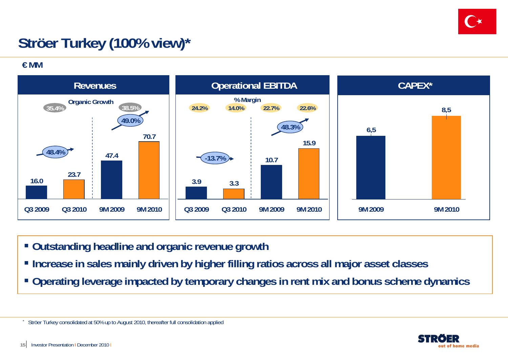

## **Ströer Turkey (100% view)\***

**€ MM**



- **Outstanding headline and organic revenue growth**
- **Increase in sales mainly driven by higher filling ratios across all major asset classes**
- **Operating leverage impacted by temporary changes in rent mix and bonus scheme dynamics**



\*

Ströer Turkey consolidated at 50% up to August 2010, thereafter full consolidation applied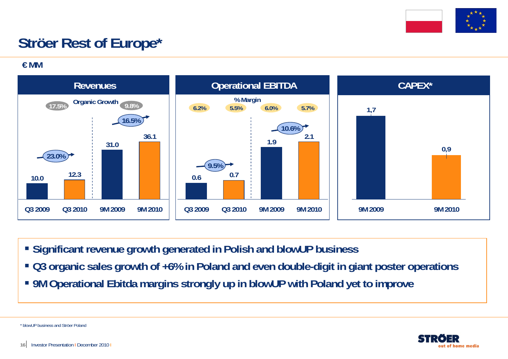

## **Ströer Rest of Europe\***

**€ MM**



- **Significant revenue growth generated in Polish and blowUP business**
- **Q3 organic sales growth of +6% in Poland and even double-digit in giant poster operations**
- **9M Operational Ebitda margins strongly up in blowUP with Poland yet to improve**

out of home media

\* blowUP business and Ströer Poland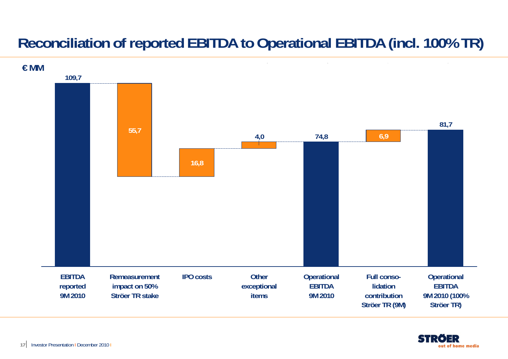## **Reconciliation of reported EBITDA to Operational EBITDA (incl. 100% TR)**



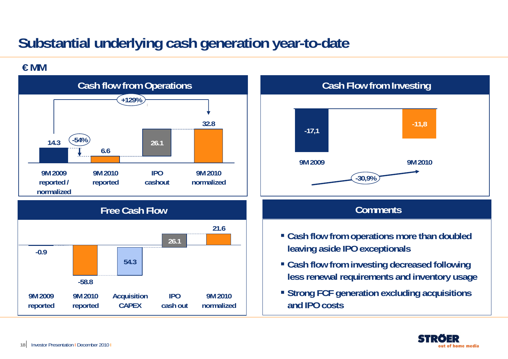## **Substantial underlying cash generation year-to-date**

### **€ MM**



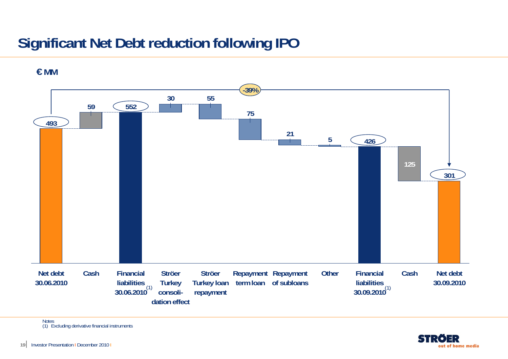## **Significant Net Debt reduction following IPO**



**€ MM**

Notes (1) Excluding derivative financial instruments

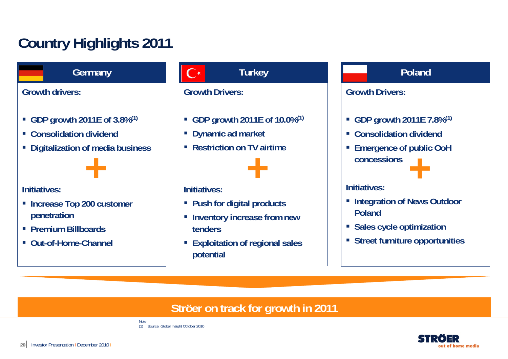## **Country Highlights 2011**

**Germany**

**Growth drivers:**

- **GDP growth 2011E of 3.8%(1)**
- **Consolidation dividend**
- $\mathcal{L}_{\mathcal{A}}$ **Digitalization of media business**



### **Initiatives:**

- **Increase Top 200 customer penetration**
- **Premium Billboards**
- **Out-of-Home-Channel**

### **Turkey**

### **Growth Drivers:**

- **GDP growth 2011E of 10.0%(1)**
- **Dynamic ad market**
- **Restriction on TV airtime**



### **Initiatives:**

- **Push for digital products**
- **Example 1 Inventory increase from new tenders**
- **Exploitation of regional sales potential**

### **Poland**

### **Growth Drivers:**

- **GDP growth 2011E 7.8%(1)**
- **Consolidation dividend**
- **Emergence of public OoH concessions+**

### **Initiatives:**

- **Example 2 Integration of News Outdoor Poland**
- **Sales cycle optimization**
- **Street furniture opportunities**

### **Ströer on track for growth in 2011**



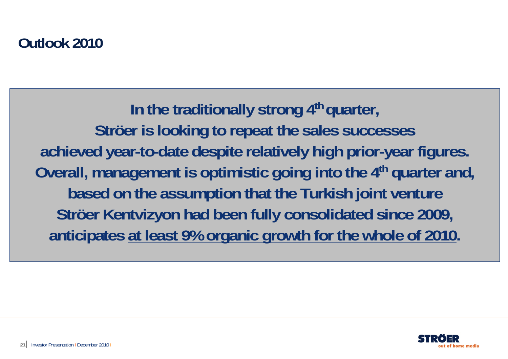In the traditionally strong 4<sup>th</sup> quarter, **Ströer is looking to repeat the sales successes achieved year-to-date despite relatively high prior-year figures. Overall, management is optimistic going into the 4th quarter and, based on the assumption that the Turkish joint venture Ströer Kentvizyon had been fully consolidated since 2009, anticipates at least 9% organic growth for the whole of 2010.**